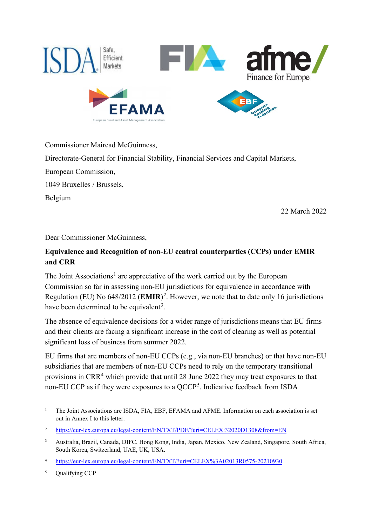

Commissioner Mairead McGuinness,

Directorate-General for Financial Stability, Financial Services and Capital Markets,

European Commission,

1049 Bruxelles / Brussels,

Belgium

22 March 2022

Dear Commissioner McGuinness,

# **Equivalence and Recognition of non-EU central counterparties (CCPs) under EMIR and CRR**

The Joint Associations<sup>[1](#page-0-0)</sup> are appreciative of the work carried out by the European Commission so far in assessing non-EU jurisdictions for equivalence in accordance with Regulation (EU) No 648/2012 (**EMIR**) [2](#page-0-1) . However, we note that to date only 16 jurisdictions have been determined to be equivalent<sup>[3](#page-0-2)</sup>.

The absence of equivalence decisions for a wider range of jurisdictions means that EU firms and their clients are facing a significant increase in the cost of clearing as well as potential significant loss of business from summer 2022.

EU firms that are members of non-EU CCPs (e.g., via non-EU branches) or that have non-EU subsidiaries that are members of non-EU CCPs need to rely on the temporary transitional provisions in CRR[4](#page-0-3) which provide that until 28 June 2022 they may treat exposures to that non-EU CCP as if they were exposures to a  $QCCP<sup>5</sup>$  $QCCP<sup>5</sup>$  $QCCP<sup>5</sup>$ . Indicative feedback from ISDA

<span id="page-0-0"></span><sup>&</sup>lt;sup>1</sup> The Joint Associations are ISDA, FIA, EBF, EFAMA and AFME. Information on each association is set out in Annex I to this letter.

<span id="page-0-1"></span><sup>&</sup>lt;sup>2</sup> <https://eur-lex.europa.eu/legal-content/EN/TXT/PDF/?uri=CELEX:32020D1308&from=EN>

<span id="page-0-2"></span><sup>3</sup> Australia, Brazil, Canada, DIFC, Hong Kong, India, Japan, Mexico, New Zealand, Singapore, South Africa, South Korea, Switzerland, UAE, UK, USA.

<span id="page-0-3"></span><sup>4</sup> <https://eur-lex.europa.eu/legal-content/EN/TXT/?uri=CELEX%3A02013R0575-20210930>

<span id="page-0-4"></span><sup>&</sup>lt;sup>5</sup> Oualifying CCP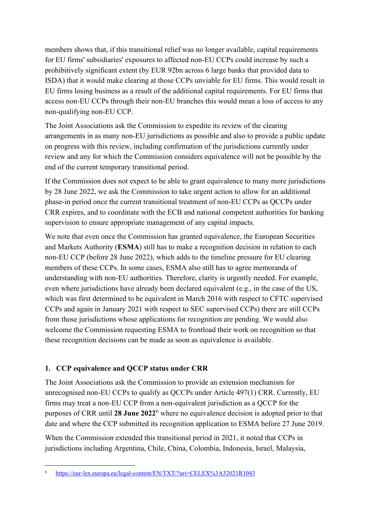members shows that, if this transitional relief was no longer available, capital requirements for EU firms' subsidiaries' exposures to affected non-EU CCPs could increase by such a prohibitively significant extent (by EUR 92bn across 6 large banks that provided data to ISDA) that it would make clearing at those CCPs unviable for EU firms. This would result in EU firms losing business as a result of the additional capital requirements. For EU firms that access non-EU CCPs through their non-EU branches this would mean a loss of access to any non-qualifying non-EU CCP.

The Joint Associations ask the Commission to expedite its review of the clearing arrangements in as many non-EU jurisdictions as possible and also to provide a public update on progress with this review, including confirmation of the jurisdictions currently under review and any for which the Commission considers equivalence will not be possible by the end of the current temporary transitional period.

If the Commission does not expect to be able to grant equivalence to many more jurisdictions by 28 June 2022, we ask the Commission to take urgent action to allow for an additional phase-in period once the current transitional treatment of non-EU CCPs as QCCPs under CRR expires, and to coordinate with the ECB and national competent authorities for banking supervision to ensure appropriate management of any capital impacts.

We note that even once the Commission has granted equivalence, the European Securities and Markets Authority (**ESMA**) still has to make a recognition decision in relation to each non-EU CCP (before 28 June 2022), which adds to the timeline pressure for EU clearing members of these CCPs. In some cases, ESMA also still has to agree memoranda of understanding with non-EU authorities. Therefore, clarity is urgently needed. For example, even where jurisdictions have already been declared equivalent (e.g., in the case of the US, which was first determined to be equivalent in March 2016 with respect to CFTC supervised CCPs and again in January 2021 with respect to SEC supervised CCPs) there are still CCPs from those jurisdictions whose applications for recognition are pending. We would also welcome the Commission requesting ESMA to frontload their work on recognition so that these recognition decisions can be made as soon as equivalence is available.

#### **1. CCP equivalence and QCCP status under CRR**

The Joint Associations ask the Commission to provide an extension mechanism for unrecognised non-EU CCPs to qualify as QCCPs under Article 497(1) CRR. Currently, EU firms may treat a non-EU CCP from a non-equivalent jurisdiction as a QCCP for the purposes of CRR until **28 June 2022**[6](#page-1-0) where no equivalence decision is adopted prior to that date and where the CCP submitted its recognition application to ESMA before 27 June 2019.

When the Commission extended this transitional period in 2021, it noted that CCPs in jurisdictions including Argentina, Chile, China, Colombia, Indonesia, Israel, Malaysia,

<span id="page-1-0"></span><sup>6</sup> <https://eur-lex.europa.eu/legal-content/EN/TXT/?uri=CELEX%3A32021R1043>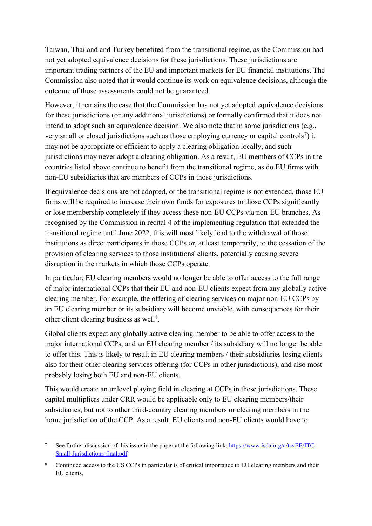Taiwan, Thailand and Turkey benefited from the transitional regime, as the Commission had not yet adopted equivalence decisions for these jurisdictions. These jurisdictions are important trading partners of the EU and important markets for EU financial institutions. The Commission also noted that it would continue its work on equivalence decisions, although the outcome of those assessments could not be guaranteed.

However, it remains the case that the Commission has not yet adopted equivalence decisions for these jurisdictions (or any additional jurisdictions) or formally confirmed that it does not intend to adopt such an equivalence decision. We also note that in some jurisdictions (e.g., very small or closed jurisdictions such as those employing currency or capital controls<sup>[7](#page-2-0)</sup>) it may not be appropriate or efficient to apply a clearing obligation locally, and such jurisdictions may never adopt a clearing obligation. As a result, EU members of CCPs in the countries listed above continue to benefit from the transitional regime, as do EU firms with non-EU subsidiaries that are members of CCPs in those jurisdictions.

If equivalence decisions are not adopted, or the transitional regime is not extended, those EU firms will be required to increase their own funds for exposures to those CCPs significantly or lose membership completely if they access these non-EU CCPs via non-EU branches. As recognised by the Commission in recital 4 of the implementing regulation that extended the transitional regime until June 2022, this will most likely lead to the withdrawal of those institutions as direct participants in those CCPs or, at least temporarily, to the cessation of the provision of clearing services to those institutions' clients, potentially causing severe disruption in the markets in which those CCPs operate.

In particular, EU clearing members would no longer be able to offer access to the full range of major international CCPs that their EU and non-EU clients expect from any globally active clearing member. For example, the offering of clearing services on major non-EU CCPs by an EU clearing member or its subsidiary will become unviable, with consequences for their other client clearing business as well<sup>[8](#page-2-1)</sup>.

Global clients expect any globally active clearing member to be able to offer access to the major international CCPs, and an EU clearing member / its subsidiary will no longer be able to offer this. This is likely to result in EU clearing members / their subsidiaries losing clients also for their other clearing services offering (for CCPs in other jurisdictions), and also most probably losing both EU and non-EU clients.

This would create an unlevel playing field in clearing at CCPs in these jurisdictions. These capital multipliers under CRR would be applicable only to EU clearing members/their subsidiaries, but not to other third-country clearing members or clearing members in the home jurisdiction of the CCP. As a result, EU clients and non-EU clients would have to

<span id="page-2-0"></span>See further discussion of this issue in the paper at the following link[: https://www.isda.org/a/tsvEE/ITC-](https://www.isda.org/a/tsvEE/ITC-Small-Jurisdictions-final.pdf)[Small-Jurisdictions-final.pdf](https://www.isda.org/a/tsvEE/ITC-Small-Jurisdictions-final.pdf)

<span id="page-2-1"></span><sup>&</sup>lt;sup>8</sup> Continued access to the US CCPs in particular is of critical importance to EU clearing members and their EU clients.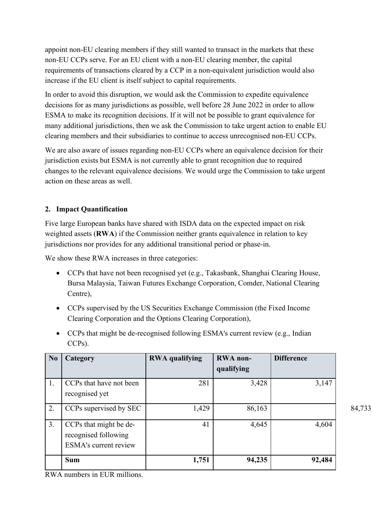appoint non-EU clearing members if they still wanted to transact in the markets that these non-EU CCPs serve. For an EU client with a non-EU clearing member, the capital requirements of transactions cleared by a CCP in a non-equivalent jurisdiction would also increase if the EU client is itself subject to capital requirements.

In order to avoid this disruption, we would ask the Commission to expedite equivalence decisions for as many jurisdictions as possible, well before 28 June 2022 in order to allow ESMA to make its recognition decisions. If it will not be possible to grant equivalence for many additional jurisdictions, then we ask the Commission to take urgent action to enable EU clearing members and their subsidiaries to continue to access unrecognised non-EU CCPs.

We are also aware of issues regarding non-EU CCPs where an equivalence decision for their jurisdiction exists but ESMA is not currently able to grant recognition due to required changes to the relevant equivalence decisions. We would urge the Commission to take urgent action on these areas as well.

# **2. Impact Quantification**

Five large European banks have shared with ISDA data on the expected impact on risk weighted assets (**RWA**) if the Commission neither grants equivalence in relation to key jurisdictions nor provides for any additional transitional period or phase-in.

We show these RWA increases in three categories:

- CCPs that have not been recognised yet (e.g., Takasbank, Shanghai Clearing House, Bursa Malaysia, Taiwan Futures Exchange Corporation, Comder, National Clearing Centre),
- CCPs supervised by the US Securities Exchange Commission (the Fixed Income Clearing Corporation and the Options Clearing Corporation),
- CCPs that might be de-recognised following ESMA's current review (e.g., Indian CCPs).

| N <sub>0</sub> | Category                                                                       | <b>RWA</b> qualifying | <b>RWA</b> non-<br>qualifying | <b>Difference</b> |        |
|----------------|--------------------------------------------------------------------------------|-----------------------|-------------------------------|-------------------|--------|
| 1.             | CCPs that have not been<br>recognised yet                                      | 281                   | 3,428                         | 3,147             |        |
| 2.             | CCPs supervised by SEC                                                         | 1,429                 | 86,163                        |                   | 84,733 |
| 3.             | CCPs that might be de-<br>recognised following<br><b>ESMA's current review</b> | 41                    | 4,645                         | 4,604             |        |
|                | <b>Sum</b>                                                                     | 1,751                 | 94,235                        | 92,484            |        |

RWA numbers in EUR millions.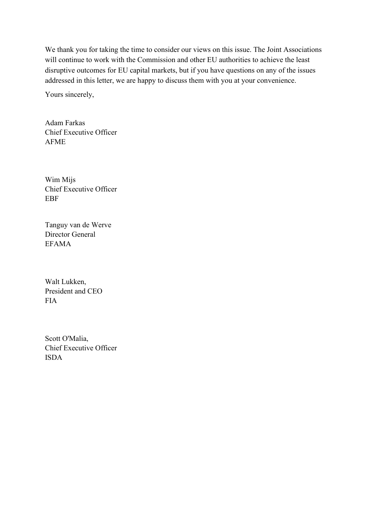We thank you for taking the time to consider our views on this issue. The Joint Associations will continue to work with the Commission and other EU authorities to achieve the least disruptive outcomes for EU capital markets, but if you have questions on any of the issues addressed in this letter, we are happy to discuss them with you at your convenience.

Yours sincerely,

Adam Farkas Chief Executive Officer AFME

Wim Mijs Chief Executive Officer **EBF** 

Tanguy van de Werve Director General EFAMA

Walt Lukken, President and CEO FIA

Scott O'Malia, Chief Executive Officer ISDA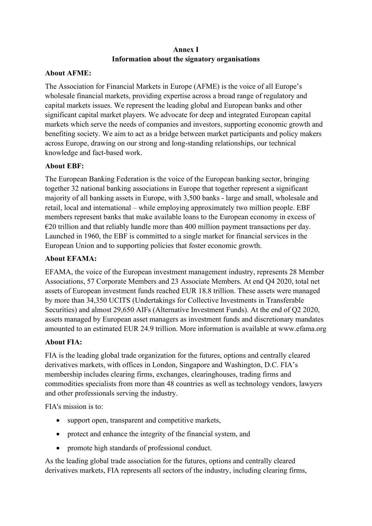# **Annex I Information about the signatory organisations**

## **About AFME:**

The Association for Financial Markets in Europe (AFME) is the voice of all Europe's wholesale financial markets, providing expertise across a broad range of regulatory and capital markets issues. We represent the leading global and European banks and other significant capital market players. We advocate for deep and integrated European capital markets which serve the needs of companies and investors, supporting economic growth and benefiting society. We aim to act as a bridge between market participants and policy makers across Europe, drawing on our strong and long-standing relationships, our technical knowledge and fact-based work.

# **About EBF:**

The European Banking Federation is the voice of the European banking sector, bringing together 32 national banking associations in Europe that together represent a significant majority of all banking assets in Europe, with 3,500 banks - large and small, wholesale and retail, local and international – while employing approximately two million people. EBF members represent banks that make available loans to the European economy in excess of  $\epsilon$ 20 trillion and that reliably handle more than 400 million payment transactions per day. Launched in 1960, the EBF is committed to a single market for financial services in the European Union and to supporting policies that foster economic growth.

# **About EFAMA:**

EFAMA, the voice of the European investment management industry, represents 28 Member Associations, 57 Corporate Members and 23 Associate Members. At end Q4 2020, total net assets of European investment funds reached EUR 18.8 trillion. These assets were managed by more than 34,350 UCITS (Undertakings for Collective Investments in Transferable Securities) and almost 29,650 AIFs (Alternative Investment Funds). At the end of Q2 2020, assets managed by European asset managers as investment funds and discretionary mandates amounted to an estimated EUR 24.9 trillion. More information is available at [www.efama.org](http://www.efama.org/)

#### **About FIA:**

FIA is the leading global trade organization for the futures, options and centrally cleared derivatives markets, with offices in London, Singapore and Washington, D.C. FIA's membership includes clearing firms, exchanges, clearinghouses, trading firms and commodities specialists from more than 48 countries as well as technology vendors, lawyers and other professionals serving the industry.

FIA's mission is to:

- support open, transparent and competitive markets,
- protect and enhance the integrity of the financial system, and
- promote high standards of professional conduct.

As the leading global trade association for the futures, options and centrally cleared derivatives markets, FIA represents all sectors of the industry, including clearing firms,